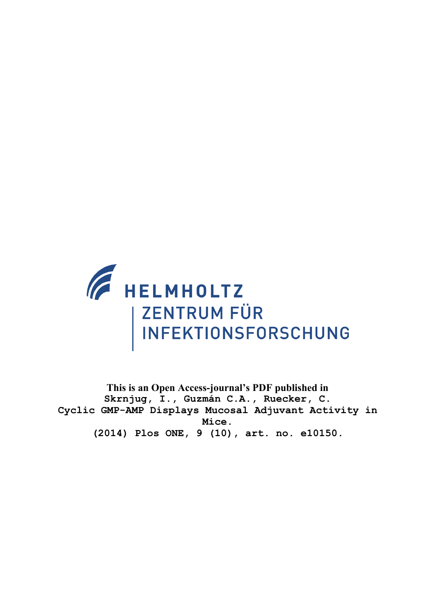

**This is an Open Access-journal's PDF published in Skrnjug, I., Guzmán C.A., Ruecker, C. Cyclic GMP-AMP Displays Mucosal Adjuvant Activity in Mice. (2014) Plos ONE, 9 (10), art. no. e10150.**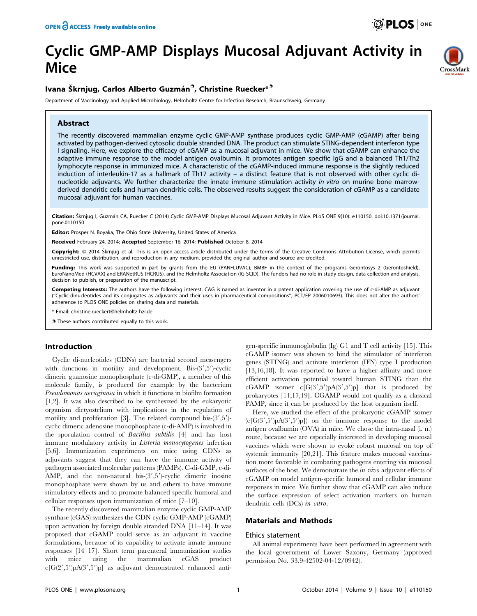# Cyclic GMP-AMP Displays Mucosal Adjuvant Activity in Mice

## Ivana Škrnjug, Carlos Alberto Guzmán<sup>9</sup>, Christine Ruecker $^{\ast^{\textup{9}}}$

Department of Vaccinology and Applied Microbiology, Helmholtz Centre for Infection Research, Braunschweig, Germany

## Abstract



Citation: Škrnjug I, Guzmán CA, Ruecker C (2014) Cyclic GMP-AMP Displays Mucosal Adjuvant Activity in Mice. PLoS ONE 9(10): e110150. doi:10.1371/journal. pone.0110150

**Editor:** Prosper N. Boyaka, The Ohio State University, United States of America

Received February 24, 2014; Accepted September 16, 2014; Published October 8, 2014

Copyright: © 2014 Škrnjug et al. This is an open-access article distributed under the terms of the [Creative Commons Attribution License,](http://creativecommons.org/licenses/by/4.0/) which permits unrestricted use, distribution, and reproduction in any medium, provided the original author and source are credited.

Funding: This work was supported in part by grants from the EU (PANFLUVAC); BMBF in the context of the programs Gerontosys 2 (Gerontoshield), EuroNanoMed (HCVAX) and ERANetRUS (HCRUS), and the Helmholtz Association (IG-SCID). The funders had no role in study design, data collection and analysis, decision to publish, or preparation of the manuscript.

Competing Interests: The authors have the following interest: CAG is named as inventor in a patent application covering the use of c-di-AMP as adjuvant (''Cyclic-dinucleotides and its conjugates as adjuvants and their uses in pharmaceutical compositions''; PCT/EP 2006010693). This does not alter the authors' adherence to PLOS ONE policies on sharing data and materials.

\* Email: christine.rueckert@helmholtz-hzi.de

. These authors contributed equally to this work.

## Introduction

Cyclic di-nucleotides (CDNs) are bacterial second messengers with functions in motility and development. Bis- $(3', 5')$ -cyclic dimeric guanosine monophosphate (c-di-GMP), a member of this molecule family, is produced for example by the bacterium Pseudomonas aeruginosa in which it functions in biofilm formation [1,2]. It was also described to be synthesized by the eukaryotic organism dictyostelium with implications in the regulation of motility and proliferation [3]. The related compound bis- $(3', 5')$ cyclic dimeric adenosine monophosphate (c-di-AMP) is involved in the sporulation control of Bacillus subtilis [4] and has host immune modulatory activity in Listeria monocytogenes infection [5,6]. Immunization experiments on mice using CDNs as adjuvants suggest that they can have the immune activity of pathogen associated molecular patterns (PAMPs). C-di-GMP, c-di-AMP, and the non-natural bis- $(3', 5')$ -cyclic dimeric inosine monophosphate were shown by us and others to have immune stimulatory effects and to promote balanced specific humoral and cellular responses upon immunization of mice [7–10].

The recently discovered mammalian enzyme cyclic GMP-AMP synthase (cGAS) synthesizes the CDN cyclic GMP-AMP (cGAMP) upon activation by foreign double stranded DNA [11–14]. It was proposed that cGAMP could serve as an adjuvant in vaccine formulations, because of its capability to activate innate immune responses [14–17]. Short term parenteral immunization studies with mice using the mammalian cGAS product  $c[G(2',5')pA(3',5')p]$  as adjuvant demonstrated enhanced antigen-specific immunoglobulin (Ig) G1 and T cell activity [15]. This cGAMP isomer was shown to bind the stimulator of interferon genes (STING) and activate interferon (IFN) type I production [13,16,18]. It was reported to have a higher affinity and more efficient activation potential toward human STING than the cGAMP isomer  $c[G(3',5')pA(3',5')p]$  that is produced by prokaryotes [11,17,19]. CGAMP would not qualify as a classical PAMP, since it can be produced by the host organism itself.

Here, we studied the effect of the prokaryotic cGAMP isomer  $(c[G(3',5')pA(3',5')p])$  on the immune response to the model antigen ovalbumin (OVA) in mice. We chose the intra-nasal (i. n.) route, because we are especially interested in developing mucosal vaccines which were shown to evoke robust mucosal on top of systemic immunity [20,21]. This feature makes mucosal vaccination more favorable in combating pathogens entering via mucosal surfaces of the host. We demonstrate the *in vivo* adjuvant effects of cGAMP on model antigen-specific humoral and cellular immune responses in mice. We further show that cGAMP can also induce the surface expression of select activation markers on human dendritic cells (DCs) in vitro.

## Materials and Methods

#### Ethics statement

All animal experiments have been performed in agreement with the local government of Lower Saxony, Germany (approved permission No. 33.9-42502-04-12/0942).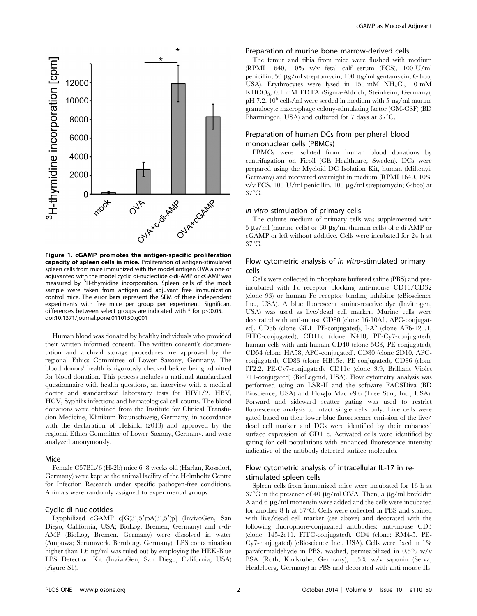

Figure 1. cGAMP promotes the antigen-specific proliferation capacity of spleen cells in mice. Proliferation of antigen-stimulated spleen cells from mice immunized with the model antigen OVA alone or adjuvanted with the model cyclic di-nucleotide c-di-AMP or cGAMP was measured by <sup>3</sup>H-thymidine incorporation. Spleen cells of the mock sample were taken from antigen and adjuvant free immunization control mice. The error bars represent the SEM of three independent experiments with five mice per group per experiment. Significant differences between select groups are indicated with  $*$  for  $p<0.05$ . doi:10.1371/journal.pone.0110150.g001

Human blood was donated by healthy individuals who provided their written informed consent. The written consent's documentation and archival storage procedures are approved by the regional Ethics Committee of Lower Saxony, Germany. The blood donors' health is rigorously checked before being admitted for blood donation. This process includes a national standardized questionnaire with health questions, an interview with a medical doctor and standardized laboratory tests for HIV1/2, HBV, HCV, Syphilis infections and hematological cell counts. The blood donations were obtained from the Institute for Clinical Transfusion Medicine, Klinikum Braunschweig, Germany, in accordance with the declaration of Helsinki (2013) and approved by the regional Ethics Committee of Lower Saxony, Germany, and were analyzed anonymously.

#### Mice

Female C57BL/6 (H-2b) mice 6–8 weeks old (Harlan, Rossdorf, Germany) were kept at the animal facility of the Helmholtz Centre for Infection Research under specific pathogen-free conditions. Animals were randomly assigned to experimental groups.

## Cyclic di-nucleotides

Lyophilized cGAMP c $[G(3',5')pA(3',5')p]$  (InvivoGen, San Diego, California, USA; BioLog, Bremen, Germany) and c-di-AMP (BioLog, Bremen, Germany) were dissolved in water (Ampuwa; Serumwerk, Bernburg, Germany). LPS contamination higher than 1.6 ng/ml was ruled out by employing the HEK-Blue LPS Detection Kit (InvivoGen, San Diego, California, USA) (Figure S1).

## Preparation of murine bone marrow-derived cells

The femur and tibia from mice were flushed with medium (RPMI 1640, 10% v/v fetal calf serum (FCS), 100 U/ml penicillin, 50 µg/ml streptomycin, 100 µg/ml gentamycin; Gibco, USA). Erythrocytes were lysed in 150 mM NH4Cl, 10 mM KHCO3, 0.1 mM EDTA (Sigma-Aldrich, Steinheim, Germany),  $pH$  7.2. 10<sup>6</sup> cells/ml were seeded in medium with 5 ng/ml murine granulocyte macrophage colony-stimulating factor (GM-CSF) (BD Pharmingen, USA) and cultured for 7 days at  $37^{\circ}$ C.

## Preparation of human DCs from peripheral blood mononuclear cells (PBMCs)

PBMCs were isolated from human blood donations by centrifugation on Ficoll (GE Healthcare, Sweden). DCs were prepared using the Myeloid DC Isolation Kit, human (Miltenyi, Germany) and recovered overnight in medium (RPMI 1640, 10%  $v/v$  FCS, 100 U/ml penicillin, 100  $\mu$ g/ml streptomycin; Gibco) at  $37^{\circ}$ C.

## In vitro stimulation of primary cells

The culture medium of primary cells was supplemented with  $5 \mu g/ml$  (murine cells) or 60  $\mu g/ml$  (human cells) of c-di-AMP or cGAMP or left without additive. Cells were incubated for 24 h at  $37^{\circ}$ C.

## Flow cytometric analysis of in vitro-stimulated primary cells

Cells were collected in phosphate buffered saline (PBS) and preincubated with Fc receptor blocking anti-mouse CD16/CD32 (clone 93) or human Fc receptor binding inhibitor (eBioscience Inc., USA). A blue fluorescent amine-reactive dye (Invitrogen, USA) was used as live/dead cell marker. Murine cells were decorated with anti-mouse CD80 (clone 16-10A1, APC-conjugated), CD86 (clone GL1, PE-conjugated),  $I-A^b$  (clone AF6-120.1, FITC-conjugated), CD11c (clone N418, PE-Cy7-conjugated); human cells with anti-human CD40 (clone 5C3, PE-conjugated), CD54 (clone HA58, APC-conjugated), CD80 (clone 2D10, APCconjugated), CD83 (clone HB15e, PE-conjugated), CD86 (clone IT2.2, PE-Cy7-conjugated), CD11c (clone 3.9, Brilliant Violet 711-conjugated) (BioLegend, USA). Flow cytometry analysis was performed using an LSR-II and the software FACSDiva (BD Bioscience, USA) and FlowJo Mac v9.6 (Tree Star, Inc., USA). Forward and sideward scatter gating was used to restrict fluorescence analysis to intact single cells only. Live cells were gated based on their lower blue fluorescence emission of the live/ dead cell marker and DCs were identified by their enhanced surface expression of CD11c. Activated cells were identified by gating for cell populations with enhanced fluorescence intensity indicative of the antibody-detected surface molecules.

## Flow cytometric analysis of intracellular IL-17 in restimulated spleen cells

Spleen cells from immunized mice were incubated for 16 h at  $37^{\circ}$ C in the presence of 40 µg/ml OVA. Then, 5 µg/ml brefeldin A and 6  $\mu$ g/ml monensin were added and the cells were incubated for another 8 h at  $37^{\circ}$ C. Cells were collected in PBS and stained with live/dead cell marker (see above) and decorated with the following fluorophore-conjugated antibodies: anti-mouse CD3 (clone: 145-2c11, FITC-conjugated), CD4 (clone: RM4-5, PE-Cy7-conjugated) (eBioscience Inc., USA). Cells were fixed in 1% paraformaldehyde in PBS, washed, permeabilized in 0.5% w/v BSA (Roth, Karlsruhe, Germany), 0.5% w/v saponin (Serva, Heidelberg, Germany) in PBS and decorated with anti-mouse IL-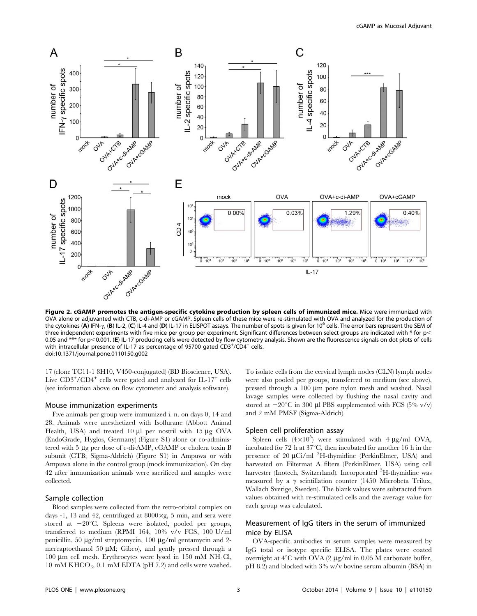

Figure 2. cGAMP promotes the antigen-specific cytokine production by spleen cells of immunized mice. Mice were immunized with OVA alone or adjuvanted with CTB, c-di-AMP or cGAMP. Spleen cells of these mice were re-stimulated with OVA and analyzed for the production of the cytokines (A) IFN- $\gamma$ , (B) IL-2, (C) IL-4 and (D) IL-17 in ELISPOT assays. The number of spots is given for 10<sup>6</sup> cells. The error bars represent the SEM of three independent experiments with five mice per group per experiment. Significant differences between select groups are indicated with  $*$  for  $p$ 0.05 and \*\*\* for p<0.001. (E) IL-17 producing cells were detected by flow cytometry analysis. Shown are the fluorescence signals on dot plots of cells with intracellular presence of IL-17 as percentage of 95700 gated  $CD3^{+}/CD4^{+}$  cells. doi:10.1371/journal.pone.0110150.g002

17 (clone TC11-1 8H10, V450-conjugated) (BD Bioscience, USA). Live CD3+/CD4+ cells were gated and analyzed for IL-17+ cells (see information above on flow cytometer and analysis software).

#### Mouse immunization experiments

Five animals per group were immunized i. n. on days 0, 14 and 28. Animals were anesthetized with Isoflurane (Abbott Animal Health, USA) and treated  $10 \mu l$  per nostril with  $15 \mu g$  OVA (EndoGrade, Hyglos, Germany) (Figure S1) alone or co-administered with 5 µg per dose of c-di-AMP, cGAMP or cholera toxin B subunit (CTB; Sigma-Aldrich) (Figure S1) in Ampuwa or with Ampuwa alone in the control group (mock immunization). On day 42 after immunization animals were sacrificed and samples were collected.

#### Sample collection

Blood samples were collected from the retro-orbital complex on days -1, 13 and 42, centrifuged at  $8000 \times g$ , 5 min, and sera were stored at  $-20^{\circ}$ C. Spleens were isolated, pooled per groups, transferred to medium (RPMI 164, 10% v/v FCS, 100 U/ml penicillin, 50  $\mu$ g/ml streptomycin, 100  $\mu$ g/ml gentamycin and 2mercaptoethanol 50  $\mu$ M; Gibco), and gently pressed through a 100  $\mu$ m cell mesh. Erythrocytes were lysed in 150 mM NH<sub>4</sub>Cl, 10 mM  $KHCO<sub>3</sub>$ , 0.1 mM EDTA (pH 7.2) and cells were washed. To isolate cells from the cervical lymph nodes (CLN) lymph nodes were also pooled per groups, transferred to medium (see above), pressed through a  $100 \mu m$  pore nylon mesh and washed. Nasal lavage samples were collected by flushing the nasal cavity and stored at  $-20^{\circ}$ C in 300 µl PBS supplemented with FCS (5% v/v) and 2 mM PMSF (Sigma-Aldrich).

#### Spleen cell proliferation assay

Spleen cells  $(4 \times 10^5)$  were stimulated with  $4 \mu g/ml$  OVA, incubated for 72 h at  $37^{\circ}$ C, then incubated for another 16 h in the presence of 20 µCi/ml <sup>3</sup>H-thymidine (PerkinElmer, USA) and harvested on Filtermat A filters (PerkinElmer, USA) using cell harvester (Inotech, Switzerland). Incorporated <sup>3</sup>H-thymidine was measured by a  $\gamma$  scintillation counter (1450 Microbeta Trilux, Wallach Sverige, Sweden). The blank values were subtracted from values obtained with re-stimulated cells and the average value for each group was calculated.

## Measurement of IgG titers in the serum of immunized mice by ELISA

OVA-specific antibodies in serum samples were measured by IgG total or isotype specific ELISA. The plates were coated overnight at  $4^{\circ}$ C with OVA (2 µg/ml in 0.05 M carbonate buffer, pH 8.2) and blocked with 3% w/v bovine serum albumin (BSA) in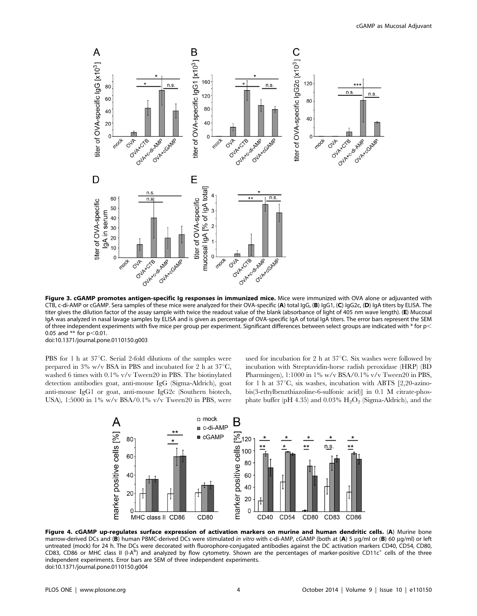

Figure 3. cGAMP promotes antigen-specific Ig responses in immunized mice. Mice were immunized with OVA alone or adjuvanted with CTB, c-di-AMP or cGAMP. Sera samples of these mice were analyzed for their OVA-specific (A) total IgG, (B) IgG1, (C) IgG2c, (D) IgA titers by ELISA. The titer gives the dilution factor of the assay sample with twice the readout value of the blank (absorbance of light of 405 nm wave length). (E) Mucosal IgA was analyzed in nasal lavage samples by ELISA and is given as percentage of OVA-specific IgA of total IgA titers. The error bars represent the SEM of three independent experiments with five mice per group per experiment. Significant differences between select groups are indicated with  $*$  for p $\lt$ 0.05 and \*\* for  $p<0.01$ . doi:10.1371/journal.pone.0110150.g003

PBS for 1 h at  $37^{\circ}$ C. Serial 2-fold dilutions of the samples were prepared in 3% w/v BSA in PBS and incubated for 2 h at  $37^{\circ}$ C, washed 6 times with 0.1% v/v Tween20 in PBS. The biotinylated detection antibodies goat, anti-mouse IgG (Sigma-Aldrich), goat anti-mouse IgG1 or goat, anti-mouse IgG2c (Southern biotech, USA), 1:5000 in 1% w/v BSA/0.1% v/v Tween20 in PBS, were used for incubation for 2 h at  $37^{\circ}$ C. Six washes were followed by incubation with Streptavidin-horse radish peroxidase (HRP) (BD Pharmingen), 1:1000 in 1% w/v BSA/0.1% v/v Tween20 in PBS, for 1 h at  $37^{\circ}$ C, six washes, incubation with ABTS [2,20-azinobis(3-ethylbenzthiazoline-6-sulfonic acid)] in 0.1 M citrate-phosphate buffer (pH 4.35) and 0.03%  $H_2O_2$  (Sigma-Aldrich), and the



Figure 4. cGAMP up-regulates surface expression of activation markers on murine and human dendritic cells. (A) Murine bone marrow-derived DCs and (B) human PBMC-derived DCs were stimulated in vitro with c-di-AMP, cGAMP (both at (A) 5 µg/ml or (B) 60 µg/ml) or left untreated (mock) for 24 h. The DCs were decorated with fluorophore-conjugated antibodies against the DC activation markers CD40, CD54, CD80, CD83, CD86 or MHC class II (I-A<sup>b</sup>) and analyzed by flow cytometry. Shown are the percentages of marker-positive CD11c<sup>+</sup> cells of the three independent experiments. Error bars are SEM of three independent experiments. doi:10.1371/journal.pone.0110150.g004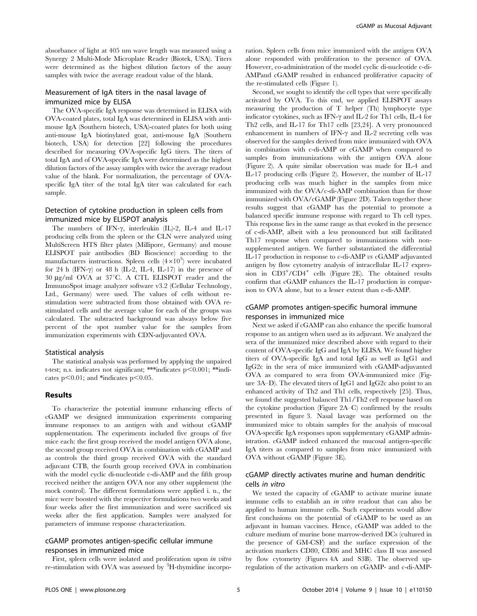absorbance of light at 405 nm wave length was measured using a Synergy 2 Multi-Mode Microplate Reader (Biotek, USA). Titers were determined as the highest dilution factors of the assay samples with twice the average readout value of the blank.

## Measurement of IgA titers in the nasal lavage of immunized mice by ELISA

The OVA-specific IgA response was determined in ELISA with OVA-coated plates, total IgA was determined in ELISA with antimouse IgA (Southern biotech, USA)-coated plates for both using anti-mouse IgA biotinylated goat, anti-mouse IgA (Southern biotech, USA) for detection [22] following the procedures described for measuring OVA-specific IgG titers. The titers of total IgA and of OVA-specific IgA were determined as the highest dilution factors of the assay samples with twice the average readout value of the blank. For normalization, the percentage of OVAspecific IgA titer of the total IgA titer was calculated for each sample.

## Detection of cytokine production in spleen cells from immunized mice by ELISPOT analysis

The numbers of IFN- $\gamma$ , interleukin (IL)-2, IL-4 and IL-17 producing cells from the spleen or the CLN were analyzed using MultiScreen HTS filter plates (Millipore, Germany) and mouse ELISPOT pair antibodies (BD Bioscience) according to the manufacturers instructions. Spleen cells  $(4\times10^5)$  were incubated for 24 h (IFN- $\gamma$ ) or 48 h (IL-2, IL-4, IL-17) in the presence of  $30 \text{ µg/ml OVA}$  at  $37^{\circ}$ C. A CTL ELISPOT reader and the ImmunoSpot image analyzer software v3.2 (Cellular Technology, Ltd., Germany) were used. The values of cells without restimulation were subtracted from those obtained with OVA restimulated cells and the average value for each of the groups was calculated. The subtracted background was always below five percent of the spot number value for the samples from immunization experiments with CDN-adjuvanted OVA.

#### Statistical analysis

The statistical analysis was performed by applying the unpaired t-test; n.s. indicates not significant; \*\*\*indicates  $p<0.001$ ; \*\*indicates  $p<0.01$ ; and \*indicates  $p<0.05$ .

## Results

To characterize the potential immune enhancing effects of cGAMP we designed immunization experiments comparing immune responses to an antigen with and without cGAMP supplementation. The experiments included five groups of five mice each: the first group received the model antigen OVA alone, the second group received OVA in combination with cGAMP and as controls the third group received OVA with the standard adjuvant CTB, the fourth group received OVA in combination with the model cyclic di-nucleotide c-di-AMP and the fifth group received neither the antigen OVA nor any other supplement (the mock control). The different formulations were applied i. n., the mice were boosted with the respective formulations two weeks and four weeks after the first immunization and were sacrificed six weeks after the first application. Samples were analyzed for parameters of immune response characterization.

## cGAMP promotes antigen-specific cellular immune responses in immunized mice

First, spleen cells were isolated and proliferation upon in vitro re-stimulation with OVA was assessed by <sup>3</sup>H-thymidine incorporation. Spleen cells from mice immunized with the antigen OVA alone responded with proliferation to the presence of OVA. However, co-administration of the model cyclic di-nucleotide c-di-AMPand cGAMP resulted in enhanced proliferative capacity of the re-stimulated cells (Figure 1).

Second, we sought to identify the cell types that were specifically activated by OVA. To this end, we applied ELISPOT assays measuring the production of T helper (Th) lymphocyte type indicator cytokines, such as IFN- $\gamma$  and IL-2 for Th1 cells, IL-4 for Th2 cells, and IL-17 for Th17 cells [23,24]. A very pronounced enhancement in numbers of IFN- $\gamma$  and IL-2 secreting cells was observed for the samples derived from mice immunized with OVA in combination with c-di-AMP or cGAMP when compared to samples from immunizations with the antigen OVA alone (Figure 2). A quite similar observation was made for IL-4 and IL-17 producing cells (Figure 2). However, the number of IL-17 producing cells was much higher in the samples from mice immunized with the OVA/c-di-AMP combination than for those immunized with OVA/cGAMP (Figure 2D). Taken together these results suggest that cGAMP has the potential to promote a balanced specific immune response with regard to Th cell types. This response lies in the same range as that evoked in the presence of c-di-AMP, albeit with a less pronounced but still facilitated Th17 response when compared to immunizations with nonsupplemented antigen. We further substantiated the differential IL-17 production in response to c-di-AMP vs cGAMP adjuvanted antigen by flow cytometry analysis of intracellular IL-17 expression in CD3+/CD4+ cells (Figure 2E). The obtained results confirm that cGAMP enhances the IL-17 production in comparison to OVA alone, but to a lesser extent than c-di-AMP.

## cGAMP promotes antigen-specific humoral immune responses in immunized mice

Next we asked if cGAMP can also enhance the specific humoral response to an antigen when used as its adjuvant. We analyzed the sera of the immunized mice described above with regard to their content of OVA-specific IgG and IgA by ELISA. We found higher titers of OVA-specific IgA and total IgG as well as IgG1 and IgG2c in the sera of mice immunized with cGAMP-adjuvanted OVA as compared to sera from OVA-immunized mice (Figure 3A–D). The elevated titers of IgG1 and IgG2c also point to an enhanced activity of Th2 and Th1 cells, respectively [25]. Thus, we found the suggested balanced Th1/Th2 cell response based on the cytokine production (Figure 2A–C) confirmed by the results presented in figure 3. Nasal lavage was performed on the immunized mice to obtain samples for the analysis of mucosal OVA-specific IgA responses upon supplementary cGAMP administration. cGAMP indeed enhanced the mucosal antigen-specific IgA titers as compared to samples from mice immunized with OVA without cGAMP (Figure 3E).

## cGAMP directly activates murine and human dendritic cells in vitro

We tested the capacity of cGAMP to activate murine innate immune cells to establish an *in vitro* readout that can also be applied to human immune cells. Such experiments would allow first conclusions on the potential of cGAMP to be used as an adjuvant in human vaccines. Hence, cGAMP was added to the culture medium of murine bone marrow-derived DCs (cultured in the presence of GM-CSF) and the surface expression of the activation markers CD80, CD86 and MHC class II was assessed by flow cytometry (Figures 4A and S3B). The observed upregulation of the activation markers on cGAMP- and c-di-AMP-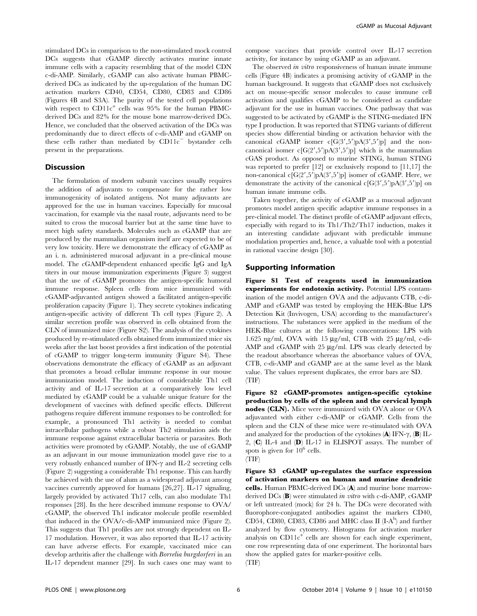stimulated DCs in comparison to the non-stimulated mock control DCs suggests that cGAMP directly activates murine innate immune cells with a capacity resembling that of the model CDN c-di-AMP. Similarly, cGAMP can also activate human PBMCderived DCs as indicated by the up-regulation of the human DC activation markers CD40, CD54, CD80, CD83 and CD86 (Figures 4B and S3A). The purity of the tested cell populations with respect to  $CD11c^+$  cells was 95% for the human PBMCderived DCs and 82% for the mouse bone marrow-derived DCs. Hence, we concluded that the observed activation of the DCs was predominantly due to direct effects of c-di-AMP and cGAMP on these cells rather than mediated by  $CD11c$ <sup>-</sup> bystander cells present in the preparations.

#### Discussion

The formulation of modern subunit vaccines usually requires the addition of adjuvants to compensate for the rather low immunogenicity of isolated antigens. Not many adjuvants are approved for the use in human vaccines. Especially for mucosal vaccination, for example via the nasal route, adjuvants need to be suited to cross the mucosal barrier but at the same time have to meet high safety standards. Molecules such as cGAMP that are produced by the mammalian organism itself are expected to be of very low toxicity. Here we demonstrate the efficacy of cGAMP as an i. n. administered mucosal adjuvant in a pre-clinical mouse model. The cGAMP-dependent enhanced specific IgG and IgA titers in our mouse immunization experiments (Figure 3) suggest that the use of cGAMP promotes the antigen-specific humoral immune response. Spleen cells from mice immunized with cGAMP-adjuvanted antigen showed a facilitated antigen-specific proliferation capacity (Figure 1). They secrete cytokines indicating antigen-specific activity of different Th cell types (Figure 2). A similar secretion profile was observed in cells obtained from the CLN of immunized mice (Figure S2). The analysis of the cytokines produced by re-stimulated cells obtained from immunized mice six weeks after the last boost provides a first indication of the potential of cGAMP to trigger long-term immunity (Figure S4). These observations demonstrate the efficacy of cGAMP as an adjuvant that promotes a broad cellular immune response in our mouse immunization model. The induction of considerable Th1 cell activity and of IL-17 secretion at a comparatively low level mediated by cGAMP could be a valuable unique feature for the development of vaccines with defined specific effects. Different pathogens require different immune responses to be controlled: for example, a pronounced Th1 activity is needed to combat intracellular pathogens while a robust Th2 stimulation aids the immune response against extracellular bacteria or parasites. Both activities were promoted by cGAMP. Notably, the use of cGAMP as an adjuvant in our mouse immunization model gave rise to a very robustly enhanced number of IFN- $\gamma$  and IL-2 secreting cells (Figure 2) suggesting a considerable Th1 response. This can hardly be achieved with the use of alum as a widespread adjuvant among vaccines currently approved for humans [26,27]. IL-17 signaling, largely provided by activated Th17 cells, can also modulate Th1 responses [28]. In the here described immune response to OVA/ cGAMP, the observed Th1 indicator molecule profile resembled that induced in the OVA/c-di-AMP immunized mice (Figure 2). This suggests that Th1 profiles are not strongly dependent on IL-17 modulation. However, it was also reported that IL-17 activity can have adverse effects. For example, vaccinated mice can develop arthritis after the challenge with Borrelia burgdorferi in an IL-17 dependent manner [29]. In such cases one may want to

compose vaccines that provide control over IL-17 secretion activity, for instance by using cGAMP as an adjuvant.

The observed in vitro responsiveness of human innate immune cells (Figure 4B) indicates a promising activity of cGAMP in the human background. It suggests that cGAMP does not exclusively act on mouse-specific sensor molecules to cause immune cell activation and qualifies cGAMP to be considered as candidate adjuvant for the use in human vaccines. One pathway that was suggested to be activated by cGAMP is the STING-mediated IFN type I production. It was reported that STING variants of different species show differential binding or activation behavior with the canonical cGAMP isomer  $c[G(3',5')pA(3',5')p]$  and the noncanonical isomer  $c[G(2',5')pA(3',5')p]$  which is the mammalian cGAS product. As opposed to murine STING, human STING was reported to prefer [12] or exclusively respond to [11,17] the non-canonical  $c[G(2',5')pA(3',5')p]$  isomer of cGAMP. Here, we demonstrate the activity of the canonical  $c[G(3',5')pA(3',5')p]$  on human innate immune cells.

Taken together, the activity of cGAMP as a mucosal adjuvant promotes model antigen specific adaptive immune responses in a pre-clinical model. The distinct profile of cGAMP adjuvant effects, especially with regard to its Th1/Th2/Th17 induction, makes it an interesting candidate adjuvant with predictable immune modulation properties and, hence, a valuable tool with a potential in rational vaccine design [30].

## Supporting Information

Figure S1 Test of reagents used in immunization experiments for endotoxin activity. Potential LPS contamination of the model antigen OVA and the adjuvants CTB, c-di-AMP and cGAMP was tested by employing the HEK-Blue LPS Detection Kit (Invivogen, USA) according to the manufacturer's instructions. The substances were applied in the medium of the HEK-Blue cultures at the following concentrations: LPS with 1.625 ng/ml, OVA with 15  $\mu$ g/ml, CTB with 25  $\mu$ g/ml, c-di-AMP and  $cGAMP$  with 25  $\mu$ g/ml. LPS was clearly detected by the readout absorbance whereas the absorbance values of OVA, CTB, c-di-AMP and cGAMP are at the same level as the blank value. The values represent duplicates, the error bars are SD. (TIF)

Figure S2 cGAMP-promotes antigen-specific cytokine production by cells of the spleen and the cervical lymph nodes (CLN). Mice were immunized with OVA alone or OVA adjuvanted with either c-di-AMP or cGAMP. Cells from the spleen and the CLN of these mice were re-stimulated with OVA and analyzed for the production of the cytokines  $(A)$  IFN- $\gamma$ ,  $(B)$  IL-2, (C) IL-4 and (D) IL-17 in ELISPOT assays. The number of spots is given for  $10^6$  cells. (TIF)

Figure S3 cGAMP up-regulates the surface expression of activation markers on human and murine dendritic cells. Human PBMC-derived DCs (A) and murine bone marrowderived  $DCs$  (B) were stimulated in vitro with c-di-AMP, cGAMP or left untreated (mock) for 24 h. The DCs were decorated with fluorophore-conjugated antibodies against the markers CD40, CD54, CD80, CD83, CD86 and MHC class II  $(I-A^b)$  and further analyzed by flow cytometry. Histograms for activation marker analysis on  $CD11c^+$  cells are shown for each single experiment, one row representing data of one experiment. The horizontal bars show the applied gates for marker-positive cells. (TIF)